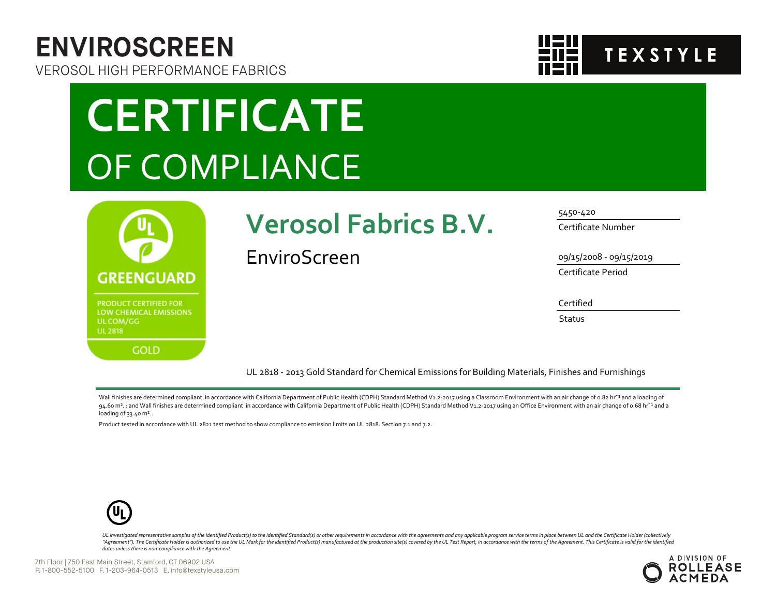## VEROSOL HIGH PERFORMANCE FABRICS **CERTIFICATE**

**ENVIROSCREEN**

# OF COMPLIANCE



## **Verosol Fabrics B.V.**

EnviroScreen

#### 5450-420

Certificate Number

09/15/2008 - 09/15/2019

**TEXSTYLE** 

Certificate Period

#### Certified

**Status** 

UL 2818 - 2013 Gold Standard for Chemical Emissions for Building Materials, Finishes and Furnishings

Wall finishes are determined compliant in accordance with California Department of Public Health (CDPH) Standard Method V1.2-2017 using a Classroom Environment with an air change of 0.82 hr<sup>-1</sup> and a loading of 94.60 m<sup>2</sup>. ; and Wall finishes are determined compliant in accordance with California Department of Public Health (CDPH) Standard Method V1.2-2017 using an Office Environment with an air change of 0.68 hr<sup>-1</sup> and a loading of 33.40 m².

Product tested in accordance with UL 2821 test method to show compliance to emission limits on UL 2818. Section 7.1 and 7.2.



UL investigated representative samples of the identified Product(s) to the identified Standard(s) or other requirements in accordance with the agreements and any applicable program service terms in place between UL and the "Agreement"). The Certificate Holder is authorized to use the UL Mark for the identified Product(s) manufactured at the production site(s) covered by the UL Test Report, in accordance with the terms of the Agreement. This *dates unless there is non-compliance with the Agreement.*